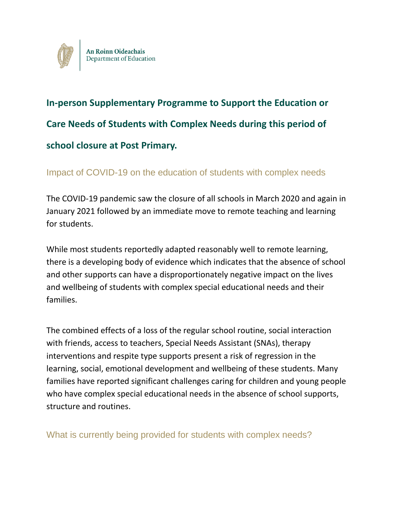

# **In-person Supplementary Programme to Support the Education or Care Needs of Students with Complex Needs during this period of school closure at Post Primary.**

## Impact of COVID-19 on the education of students with complex needs

The COVID-19 pandemic saw the closure of all schools in March 2020 and again in January 2021 followed by an immediate move to remote teaching and learning for students.

While most students reportedly adapted reasonably well to remote learning, there is a developing body of evidence which indicates that the absence of school and other supports can have a disproportionately negative impact on the lives and wellbeing of students with complex special educational needs and their families.

The combined effects of a loss of the regular school routine, social interaction with friends, access to teachers, Special Needs Assistant (SNAs), therapy interventions and respite type supports present a risk of regression in the learning, social, emotional development and wellbeing of these students. Many families have reported significant challenges caring for children and young people who have complex special educational needs in the absence of school supports, structure and routines.

What is currently being provided for students with complex needs?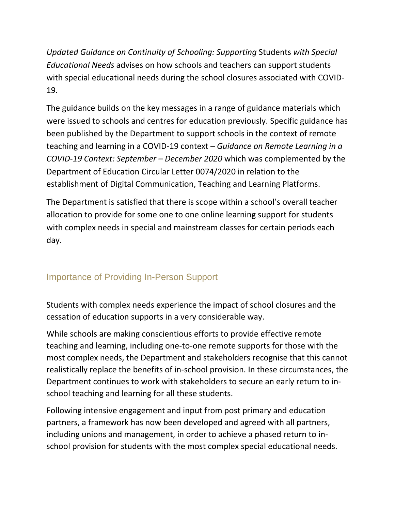*Updated Guidance on Continuity of Schooling: Supporting* Students *with Special Educational Needs* advises on how schools and teachers can support students with special educational needs during the school closures associated with COVID-19.

The guidance builds on the key messages in a range of guidance materials which were issued to schools and centres for education previously. Specific guidance has been published by the Department to support schools in the context of remote teaching and learning in a COVID-19 context – *Guidance on Remote Learning in a COVID-19 Context: September – December 2020* which was complemented by the Department of Education Circular Letter 0074/2020 in relation to the establishment of Digital Communication, Teaching and Learning Platforms.

The Department is satisfied that there is scope within a school's overall teacher allocation to provide for some one to one online learning support for students with complex needs in special and mainstream classes for certain periods each day.

# Importance of Providing In-Person Support

Students with complex needs experience the impact of school closures and the cessation of education supports in a very considerable way.

While schools are making conscientious efforts to provide effective remote teaching and learning, including one-to-one remote supports for those with the most complex needs, the Department and stakeholders recognise that this cannot realistically replace the benefits of in-school provision. In these circumstances, the Department continues to work with stakeholders to secure an early return to inschool teaching and learning for all these students.

Following intensive engagement and input from post primary and education partners, a framework has now been developed and agreed with all partners, including unions and management, in order to achieve a phased return to inschool provision for students with the most complex special educational needs.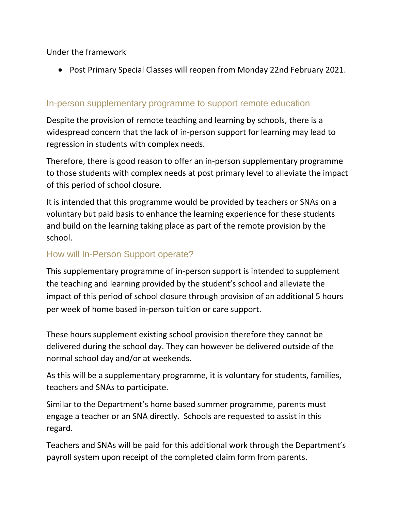Under the framework

Post Primary Special Classes will reopen from Monday 22nd February 2021.

## In-person supplementary programme to support remote education

Despite the provision of remote teaching and learning by schools, there is a widespread concern that the lack of in-person support for learning may lead to regression in students with complex needs.

Therefore, there is good reason to offer an in-person supplementary programme to those students with complex needs at post primary level to alleviate the impact of this period of school closure.

It is intended that this programme would be provided by teachers or SNAs on a voluntary but paid basis to enhance the learning experience for these students and build on the learning taking place as part of the remote provision by the school.

## How will In-Person Support operate?

This supplementary programme of in-person support is intended to supplement the teaching and learning provided by the student's school and alleviate the impact of this period of school closure through provision of an additional 5 hours per week of home based in-person tuition or care support.

These hours supplement existing school provision therefore they cannot be delivered during the school day. They can however be delivered outside of the normal school day and/or at weekends.

As this will be a supplementary programme, it is voluntary for students, families, teachers and SNAs to participate.

Similar to the Department's home based summer programme, parents must engage a teacher or an SNA directly. Schools are requested to assist in this regard.

Teachers and SNAs will be paid for this additional work through the Department's payroll system upon receipt of the completed claim form from parents.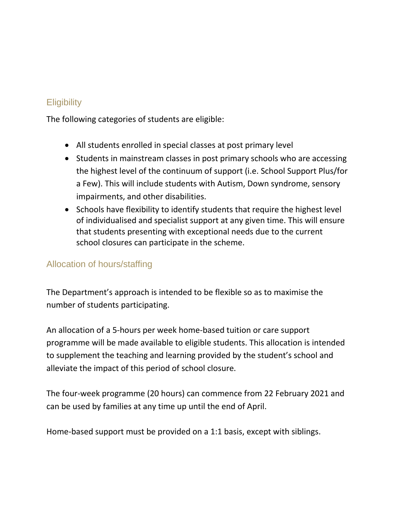# **Eligibility**

The following categories of students are eligible:

- All students enrolled in special classes at post primary level
- Students in mainstream classes in post primary schools who are accessing the highest level of the continuum of support (i.e. School Support Plus/for a Few). This will include students with Autism, Down syndrome, sensory impairments, and other disabilities.
- Schools have flexibility to identify students that require the highest level of individualised and specialist support at any given time. This will ensure that students presenting with exceptional needs due to the current school closures can participate in the scheme.

## Allocation of hours/staffing

The Department's approach is intended to be flexible so as to maximise the number of students participating.

An allocation of a 5-hours per week home-based tuition or care support programme will be made available to eligible students. This allocation is intended to supplement the teaching and learning provided by the student's school and alleviate the impact of this period of school closure.

The four-week programme (20 hours) can commence from 22 February 2021 and can be used by families at any time up until the end of April.

Home-based support must be provided on a 1:1 basis, except with siblings.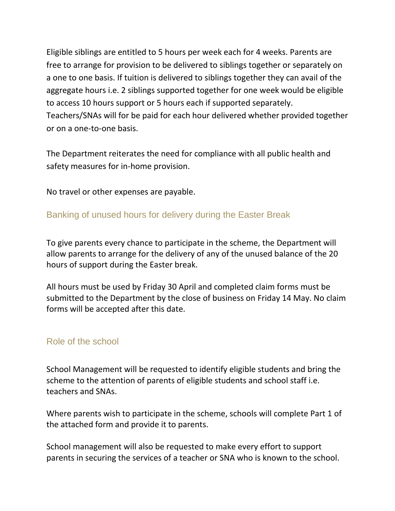Eligible siblings are entitled to 5 hours per week each for 4 weeks. Parents are free to arrange for provision to be delivered to siblings together or separately on a one to one basis. If tuition is delivered to siblings together they can avail of the aggregate hours i.e. 2 siblings supported together for one week would be eligible to access 10 hours support or 5 hours each if supported separately. Teachers/SNAs will for be paid for each hour delivered whether provided together or on a one-to-one basis.

The Department reiterates the need for compliance with all public health and safety measures for in-home provision.

No travel or other expenses are payable.

## Banking of unused hours for delivery during the Easter Break

To give parents every chance to participate in the scheme, the Department will allow parents to arrange for the delivery of any of the unused balance of the 20 hours of support during the Easter break.

All hours must be used by Friday 30 April and completed claim forms must be submitted to the Department by the close of business on Friday 14 May. No claim forms will be accepted after this date.

## Role of the school

School Management will be requested to identify eligible students and bring the scheme to the attention of parents of eligible students and school staff i.e. teachers and SNAs.

Where parents wish to participate in the scheme, schools will complete Part 1 of the attached form and provide it to parents.

School management will also be requested to make every effort to support parents in securing the services of a teacher or SNA who is known to the school.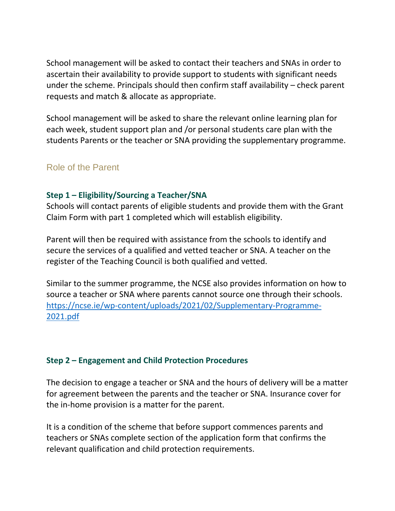School management will be asked to contact their teachers and SNAs in order to ascertain their availability to provide support to students with significant needs under the scheme. Principals should then confirm staff availability – check parent requests and match & allocate as appropriate.

School management will be asked to share the relevant online learning plan for each week, student support plan and /or personal students care plan with the students Parents or the teacher or SNA providing the supplementary programme.

## Role of the Parent

#### **Step 1 – Eligibility/Sourcing a Teacher/SNA**

Schools will contact parents of eligible students and provide them with the Grant Claim Form with part 1 completed which will establish eligibility.

Parent will then be required with assistance from the schools to identify and secure the services of a qualified and vetted teacher or SNA. A teacher on the register of the Teaching Council is both qualified and vetted.

Similar to the summer programme, the NCSE also provides information on how to source a teacher or SNA where parents cannot source one through their schools. [https://ncse.ie/wp-content/uploads/2021/02/Supplementary-Programme-](https://ncse.ie/wp-content/uploads/2021/02/Supplementary-Programme-2021.pdf)[2021.pdf](https://ncse.ie/wp-content/uploads/2021/02/Supplementary-Programme-2021.pdf)

#### **Step 2 – Engagement and Child Protection Procedures**

The decision to engage a teacher or SNA and the hours of delivery will be a matter for agreement between the parents and the teacher or SNA. Insurance cover for the in-home provision is a matter for the parent.

It is a condition of the scheme that before support commences parents and teachers or SNAs complete section of the application form that confirms the relevant qualification and child protection requirements.